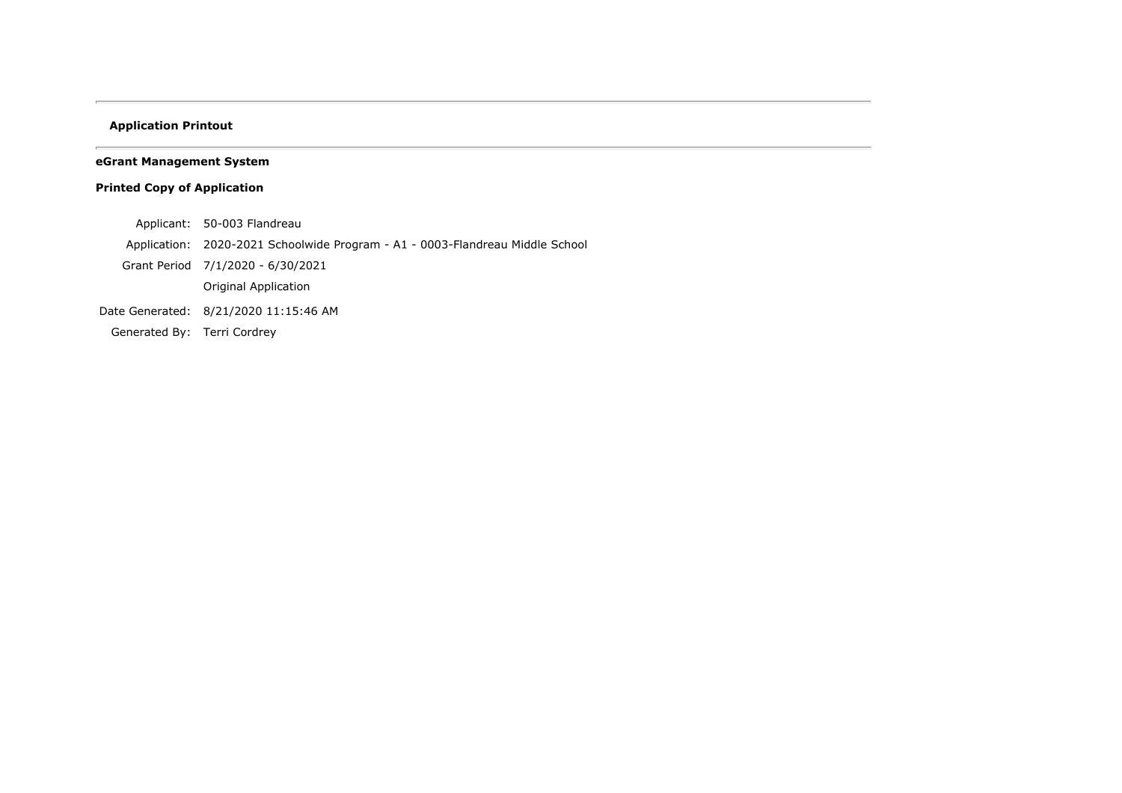# **Application Printout**

# **eGrant Management System**

# **Printed Copy of Application**

- Applicant: 50-003 Flandreau
- Application: 2020-2021 Schoolwide Program A1 0003-Flandreau Middle School
- Grant Period 7/1/2020 6/30/2021
	- Original Application
- Date Generated: 8/21/2020 11:15:46 AM
- Generated By: Terri Cordrey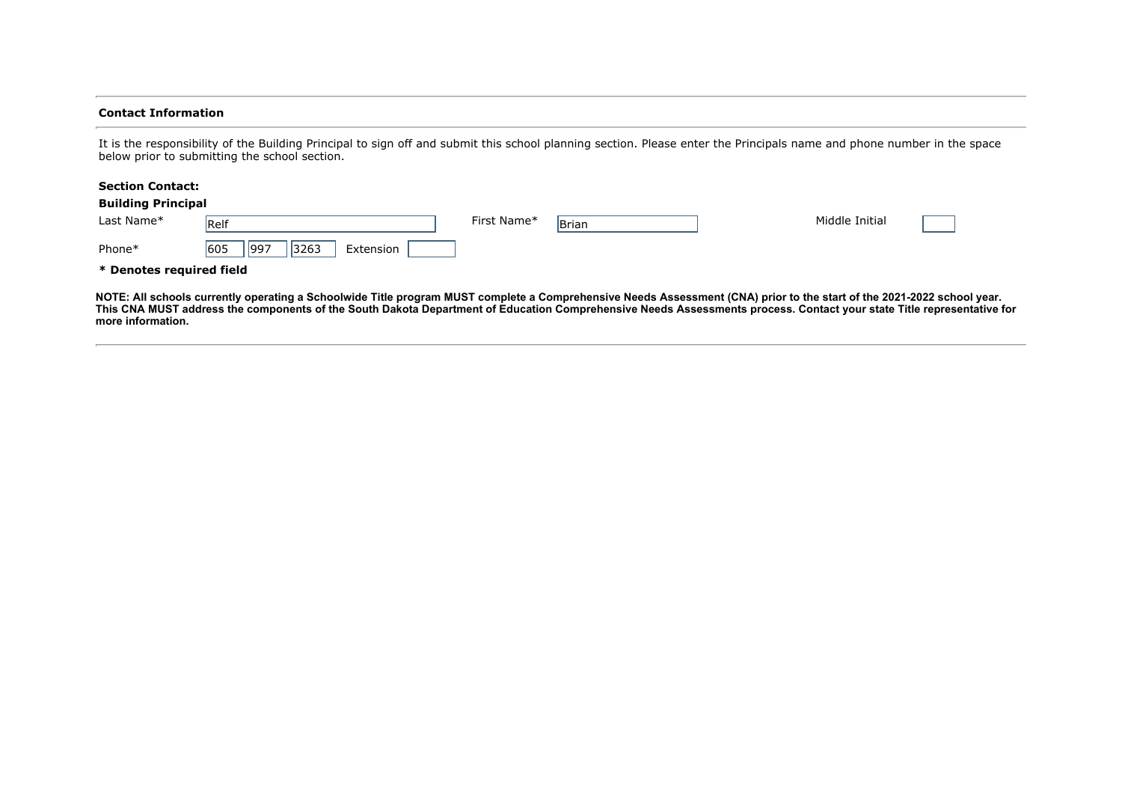#### **Contact Information**

It is the responsibility of the Building Principal to sign off and submit this school planning section. Please enter the Principals name and phone number in the space below prior to submitting the school section.

#### **Section Contact:**

|                          | <b>Building Principal</b>        |             |       |                |  |
|--------------------------|----------------------------------|-------------|-------|----------------|--|
| Last Name*               | Relf                             | First Name* | Brian | Middle Initial |  |
| Phone*                   | 605<br> 997<br>3263<br>Extension |             |       |                |  |
| * Denotes required field |                                  |             |       |                |  |

**NOTE: All schools currently operating a Schoolwide Title program MUST complete a Comprehensive Needs Assessment (CNA) prior to the start of the 2021-2022 school year. This CNA MUST address the components of the South Dakota Department of Education Comprehensive Needs Assessments process. Contact your state Title representative for more information.**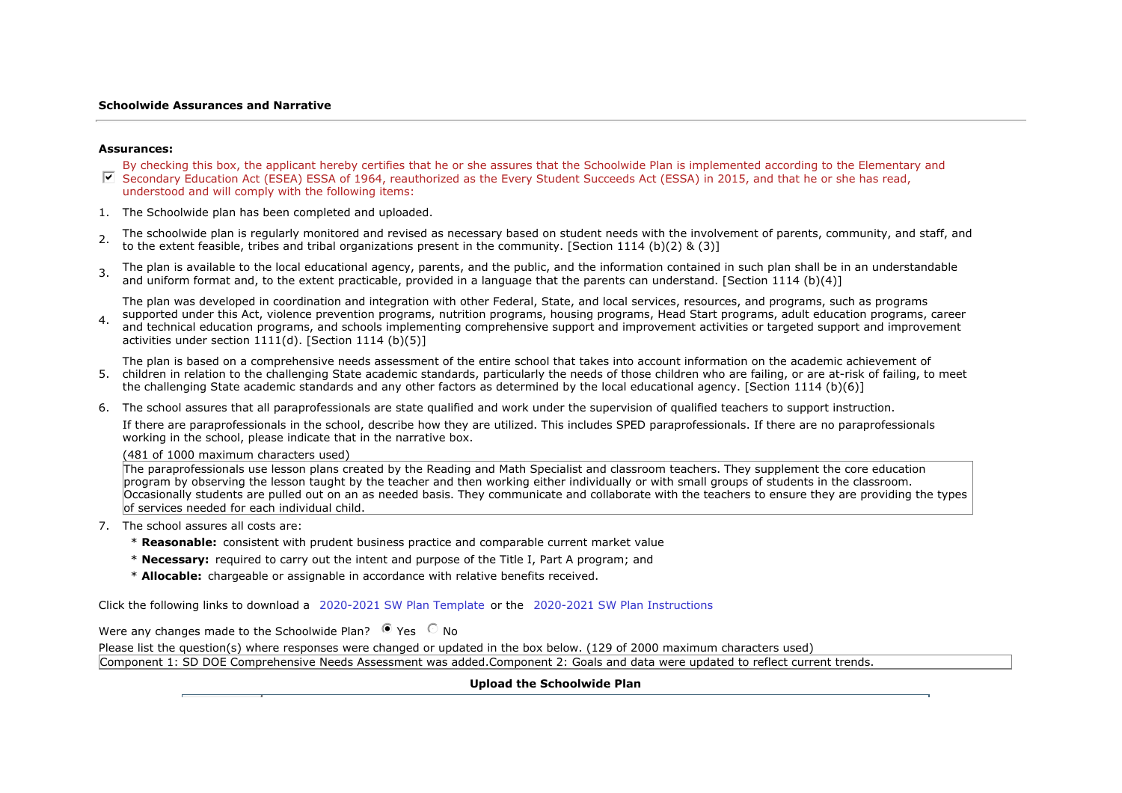#### **Schoolwide Assurances and Narrative**

#### **Assurances:**

- $\nabla$  Secondary Education Act (ESEA) ESSA of 1964, reauthorized as the Every Student Succeeds Act (ESSA) in 2015, and that he or she has read, By checking this box, the applicant hereby certifies that he or she assures that the Schoolwide Plan is implemented according to the Elementary and understood and will comply with the following items:
- 1. The Schoolwide plan has been completed and uploaded.
- 2. The schoolwide plan is regularly monitored and revised as necessary based on student needs with the involvement of parents, community, and staff, and to the extent feasible, tribes and tribal organizations present in the community. [Section 1114 (b)(2) & (3)]
- 3. The plan is available to the local educational agency, parents, and the public, and the information contained in such plan shall be in an understandable and uniform format and, to the extent practicable, provided in a language that the parents can understand. [Section 1114 (b)(4)]

The plan was developed in coordination and integration with other Federal, State, and local services, resources, and programs, such as programs

4. Supported under this Act, violence prevention programs, muthom programs, housing programs, read Start programs, addit education programs, career<br>and technical education programs, and schools implementing comprehensive s supported under this Act, violence prevention programs, nutrition programs, housing programs, Head Start programs, adult education programs, career activities under section  $1111(d)$ . [Section 1114 (b)(5)]

The plan is based on a comprehensive needs assessment of the entire school that takes into account information on the academic achievement of

- 5. children in relation to the challenging State academic standards, particularly the needs of those children who are failing, or are at-risk of failing, to meet the challenging State academic standards and any other factors as determined by the local educational agency. [Section 1114 (b)(6)]
- 6. The school assures that all paraprofessionals are state qualified and work under the supervision of qualified teachers to support instruction.

If there are paraprofessionals in the school, describe how they are utilized. This includes SPED paraprofessionals. If there are no paraprofessionals working in the school, please indicate that in the narrative box.

(481 of 1000 maximum characters used)

The paraprofessionals use lesson plans created by the Reading and Math Specialist and classroom teachers. They supplement the core education program by observing the lesson taught by the teacher and then working either individually or with small groups of students in the classroom. Occasionally students are pulled out on an as needed basis. They communicate and collaborate with the teachers to ensure they are providing the types of services needed for each individual child.

- 7. The school assures all costs are:
	- \* **Reasonable:** consistent with prudent business practice and comparable current market value
	- \* **Necessary:** required to carry out the intent and purpose of the Title I, Part A program; and
	- \* **Allocable:** chargeable or assignable in accordance with relative benefits received.

Click the following links to download a 2020-2021 SW Plan Template or the 2020-2021 SW Plan Instructions

Were any changes made to the Schoolwide Plan?  $\bullet$  Yes  $\circ$  No

Please list the question(s) where responses were changed or updated in the box below. (129 of 2000 maximum characters used)

Component 1: SD DOE Comprehensive Needs Assessment was added.Component 2: Goals and data were updated to reflect current trends.

## **Upload the Schoolwide Plan**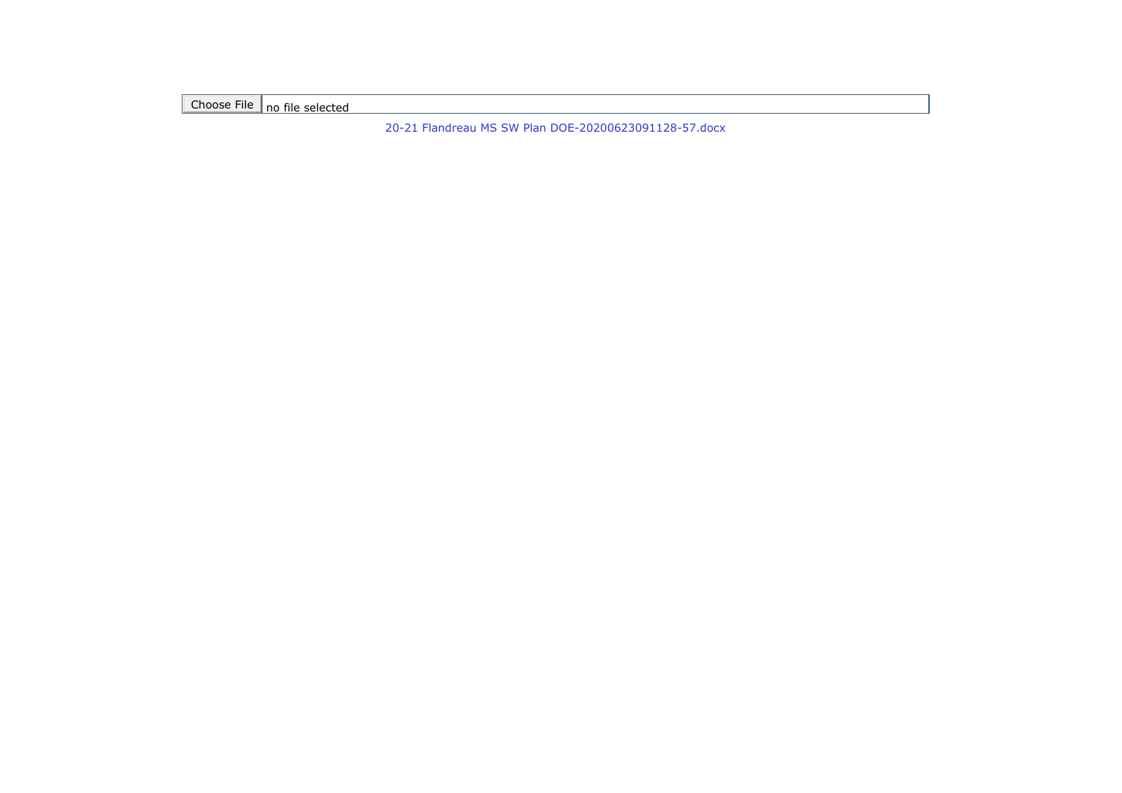Choose File no file selected

[20-21 Flandreau MS SW Plan DOE-20200623091128-57.docx](https://sddoe.mtwgms.org/SDDOEGMSWeb/UploadFiles/2021/765/SchoolwidePgm/A1//PlanAndAssure/20-21%20Flandreau%20MS%20SW%20Plan%20DOE-20200623091128-57.docx)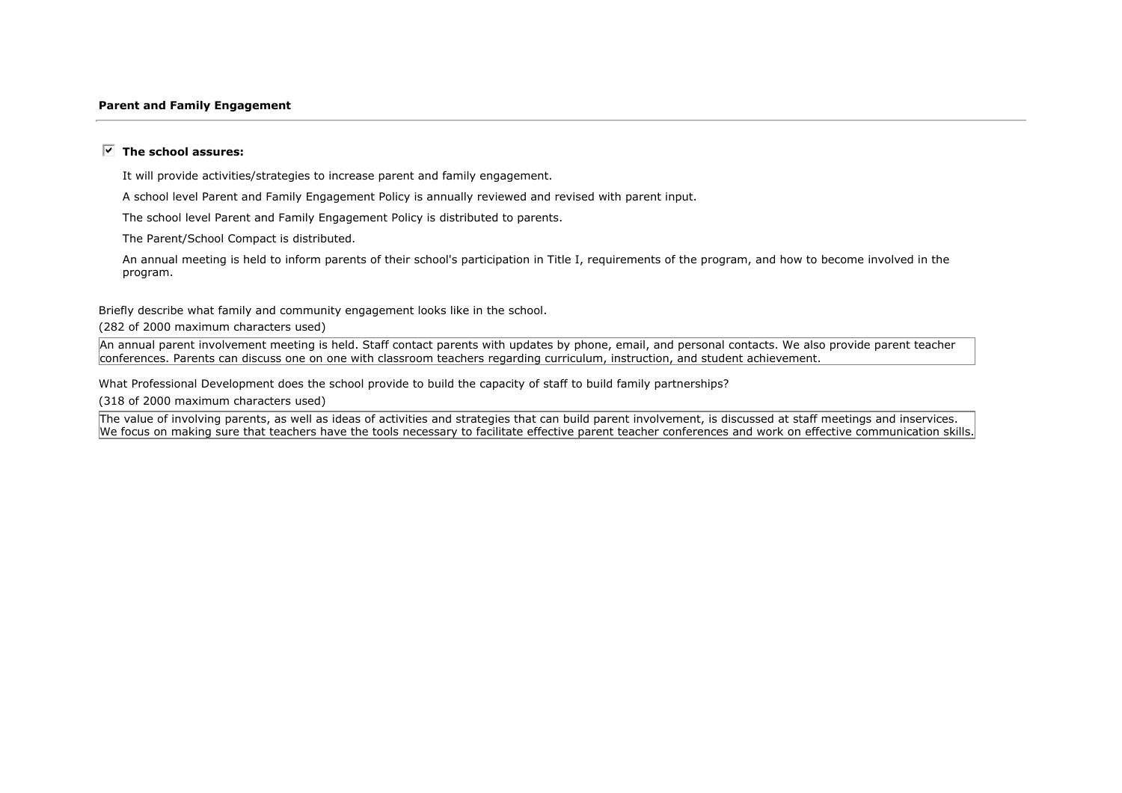#### **Parent and Family Engagement**

### $\overline{V}$  The school assures:

It will provide activities/strategies to increase parent and family engagement.

A school level Parent and Family Engagement Policy is annually reviewed and revised with parent input.

The school level Parent and Family Engagement Policy is distributed to parents.

The Parent/School Compact is distributed.

An annual meeting is held to inform parents of their school's participation in Title I, requirements of the program, and how to become involved in the program.

Briefly describe what family and community engagement looks like in the school.

(282 of 2000 maximum characters used)

An annual parent involvement meeting is held. Staff contact parents with updates by phone, email, and personal contacts. We also provide parent teacher conferences. Parents can discuss one on one with classroom teachers regarding curriculum, instruction, and student achievement.

What Professional Development does the school provide to build the capacity of staff to build family partnerships?

(318 of 2000 maximum characters used)

The value of involving parents, as well as ideas of activities and strategies that can build parent involvement, is discussed at staff meetings and inservices. We focus on making sure that teachers have the tools necessary to facilitate effective parent teacher conferences and work on effective communication skills.